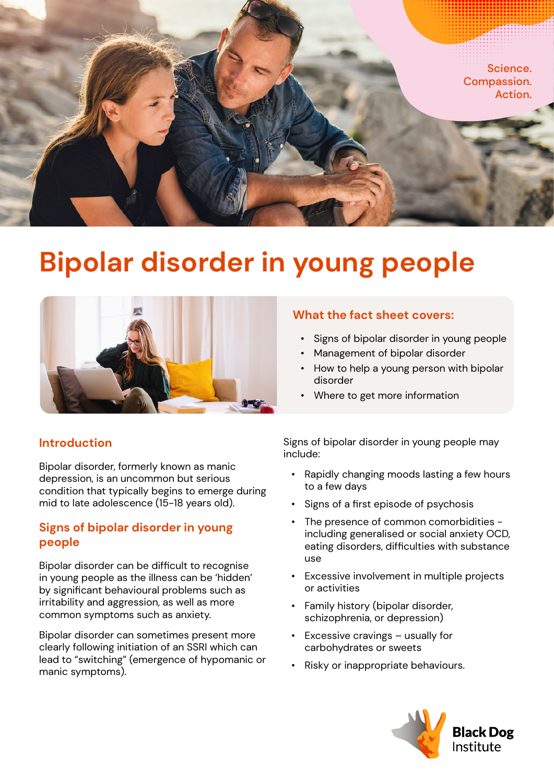

# **Bipolar disorder in young people**



# **Introduction**

Bipolar disorder, formerly known as manic depression, is an uncommon but serious condition that typically begins to emerge during mid to late adolescence (15-18 years old).

#### **Signs of bipolar disorder in young people**

Bipolar disorder can be difficult to recognise in young people as the illness can be 'hidden' by significant behavioural problems such as irritability and aggression, as well as more common symptoms such as anxiety.

Bipolar disorder can sometimes present more clearly following initiation of an SSRI which can lead to "switching" (emergence of hypomanic or manic symptoms).

#### **What the fact sheet covers:**

- Signs of bipolar disorder in young people
- Management of bipolar disorder
- How to help a young person with bipolar disorder
- Where to get more information

Signs of bipolar disorder in young people may include:

- Rapidly changing moods lasting a few hours to a few days
- Signs of a first episode of psychosis
- The presence of common comorbidities including generalised or social anxiety OCD, eating disorders, difficulties with substance use
- Excessive involvement in multiple projects or activities
- Family history (bipolar disorder, schizophrenia, or depression)
- Excessive cravings  $-$  usually for carbohydrates or sweets
- Risky or inappropriate behaviours.

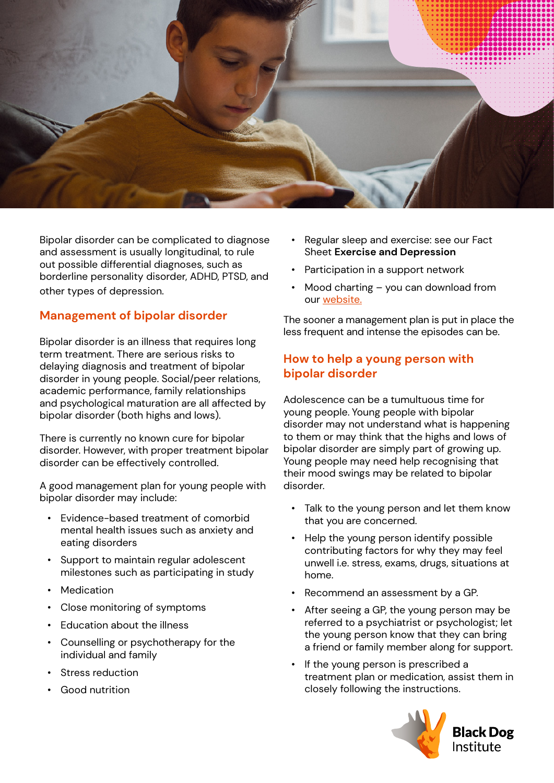

Bipolar disorder can be complicated to diagnose and assessment is usually longitudinal, to rule out possible differential diagnoses, such as borderline personality disorder, ADHD, PTSD, and other types of depression.

## **Management of bipolar disorder**

Bipolar disorder is an illness that requires long term treatment. There are serious risks to delaying diagnosis and treatment of bipolar disorder in young people. Social/peer relations, academic performance, family relationships and psychological maturation are all affected by bipolar disorder (both highs and lows).

There is currently no known cure for bipolar disorder. However, with proper treatment bipolar disorder can be effectively controlled.

A good management plan for young people with bipolar disorder may include:

- Evidence-based treatment of comorbid mental health issues such as anxiety and eating disorders
- Support to maintain regular adolescent milestones such as participating in study
- Medication
- Close monitoring of symptoms
- Education about the illness
- Counselling or psychotherapy for the individual and family
- Stress reduction
- Good nutrition
- Regular sleep and exercise: see our Fact Sheet **Exercise and Depression**
- Participation in a support network
- Mood charting you can download from our [website.](https://www.blackdoginstitute.org.au/resources-support/fact-sheets/)

The sooner a management plan is put in place the less frequent and intense the episodes can be.

## **How to help a young person with bipolar disorder**

Adolescence can be a tumultuous time for young people. Young people with bipolar disorder may not understand what is happening to them or may think that the highs and lows of bipolar disorder are simply part of growing up. Young people may need help recognising that their mood swings may be related to bipolar disorder.

- Talk to the young person and let them know that you are concerned.
- Help the young person identify possible contributing factors for why they may feel unwell i.e. stress, exams, drugs, situations at home.
- Recommend an assessment by a GP.
- After seeing a GP, the young person may be referred to a psychiatrist or psychologist; let the young person know that they can bring a friend or family member along for support.
- If the young person is prescribed a treatment plan or medication, assist them in closely following the instructions.